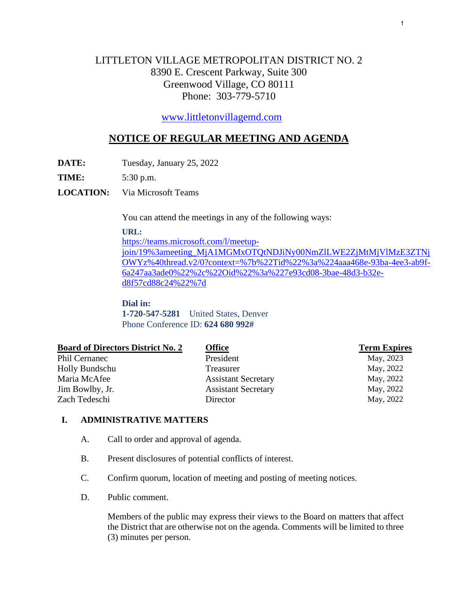# LITTLETON VILLAGE METROPOLITAN DISTRICT NO. 2 8390 E. Crescent Parkway, Suite 300 Greenwood Village, CO 80111 Phone: 303-779-5710

[www.littletonvillagemd.com](http://www.littletonvillagemd.com/) 

## **NOTICE OF REGULAR MEETING AND AGENDA**

**DATE:** Tuesday, January 25, 2022

**TIME:** 5:30 p.m.

**LOCATION:** Via Microsoft Teams

You can attend the meetings in any of the following ways:

#### **URL:**

[https://teams.microsoft.com/l/meetup-](https://teams.microsoft.com/l/meetup-join/19%3ameeting_MjA1MGMxOTQtNDJiNy00NmZlLWE2ZjMtMjVlMzE3ZTNjOWYz%40thread.v2/0?context=%7b%22Tid%22%3a%224aaa468e-93ba-4ee3-ab9f-6a247aa3ade0%22%2c%22Oid%22%3a%227e93cd08-3bae-48d3-b32e-d8f57cd88c24%22%7d)

[join/19%3ameeting\\_MjA1MGMxOTQtNDJiNy00NmZlLWE2ZjMtMjVlMzE3ZTNj](https://teams.microsoft.com/l/meetup-join/19%3ameeting_MjA1MGMxOTQtNDJiNy00NmZlLWE2ZjMtMjVlMzE3ZTNjOWYz%40thread.v2/0?context=%7b%22Tid%22%3a%224aaa468e-93ba-4ee3-ab9f-6a247aa3ade0%22%2c%22Oid%22%3a%227e93cd08-3bae-48d3-b32e-d8f57cd88c24%22%7d) [OWYz%40thread.v2/0?context=%7b%22Tid%22%3a%224aaa468e-93ba-4ee3-ab9f-](https://teams.microsoft.com/l/meetup-join/19%3ameeting_MjA1MGMxOTQtNDJiNy00NmZlLWE2ZjMtMjVlMzE3ZTNjOWYz%40thread.v2/0?context=%7b%22Tid%22%3a%224aaa468e-93ba-4ee3-ab9f-6a247aa3ade0%22%2c%22Oid%22%3a%227e93cd08-3bae-48d3-b32e-d8f57cd88c24%22%7d)[6a247aa3ade0%22%2c%22Oid%22%3a%227e93cd08-3bae-48d3-b32e](https://teams.microsoft.com/l/meetup-join/19%3ameeting_MjA1MGMxOTQtNDJiNy00NmZlLWE2ZjMtMjVlMzE3ZTNjOWYz%40thread.v2/0?context=%7b%22Tid%22%3a%224aaa468e-93ba-4ee3-ab9f-6a247aa3ade0%22%2c%22Oid%22%3a%227e93cd08-3bae-48d3-b32e-d8f57cd88c24%22%7d)[d8f57cd88c24%22%7d](https://teams.microsoft.com/l/meetup-join/19%3ameeting_MjA1MGMxOTQtNDJiNy00NmZlLWE2ZjMtMjVlMzE3ZTNjOWYz%40thread.v2/0?context=%7b%22Tid%22%3a%224aaa468e-93ba-4ee3-ab9f-6a247aa3ade0%22%2c%22Oid%22%3a%227e93cd08-3bae-48d3-b32e-d8f57cd88c24%22%7d)

**Dial in: 1-720-547-5281** United States, Denver Phone Conference ID: **624 680 992#**

| <b>Office</b>              | <b>Term Expires</b> |
|----------------------------|---------------------|
| President                  | May, 2023           |
| Treasurer                  | May, 2022           |
| <b>Assistant Secretary</b> | May, 2022           |
| <b>Assistant Secretary</b> | May, 2022           |
| Director                   | May, 2022           |
|                            |                     |

## **I. ADMINISTRATIVE MATTERS**

- A. Call to order and approval of agenda.
- B. Present disclosures of potential conflicts of interest.
- C. Confirm quorum, location of meeting and posting of meeting notices.
- D. Public comment.

Members of the public may express their views to the Board on matters that affect the District that are otherwise not on the agenda. Comments will be limited to three (3) minutes per person.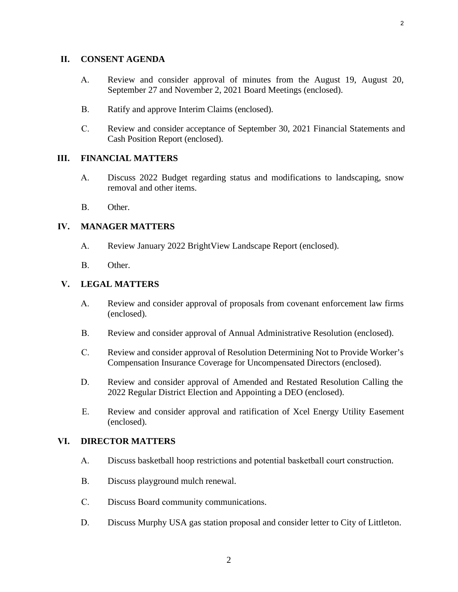#### **II. CONSENT AGENDA**

- A. [Review and consider approval of minutes from the August 19, August 20,](#page--1-0) September 27 and November 2, 2021 Board Meetings (enclosed).
- B. [Ratify and approve Interim Claims \(enclosed\).](#page--1-0)
- C. Review and consider acceptance of [September 30, 2021 Financial Statements](#page--1-0) and Cash Position Report (enclosed).

#### **III. FINANCIAL MATTERS**

- A. Discuss 2022 Budget regarding status and modifications to landscaping, snow removal and other items.
- B. Other.

#### **IV. MANAGER MATTERS**

- A. [Review January 2022 BrightView Landscape Report \(enclosed\).](#page--1-0)
- B. Other.

#### **V. LEGAL MATTERS**

- A. Review and [consider approval of proposals from covenant enforcement law firms](#page--1-0) (enclosed).
- B. [Review and consider approval of Annual Administrative Resolution \(enclosed\).](#page--1-0)
- C. [Review and consider approval of Resolution Determining Not to Provide Worker's](#page--1-0) Compensation Insurance Coverage for Uncompensated Directors (enclosed).
- D. Review and consider approval of Amended and Restated Resolution Calling the [2022 Regular District Election and Appointing a DEO \(enclosed\).](#page--1-0)
- E. Review and consider approval [and ratification of Xcel Energy](#page--1-0) Utility Easement (enclosed).

#### **VI. DIRECTOR MATTERS**

- A. Discuss basketball hoop restrictions and potential basketball court construction.
- B. Discuss playground mulch renewal.
- C. Discuss Board community communications.
- D. Discuss Murphy USA gas station proposal and consider letter to City of Littleton.